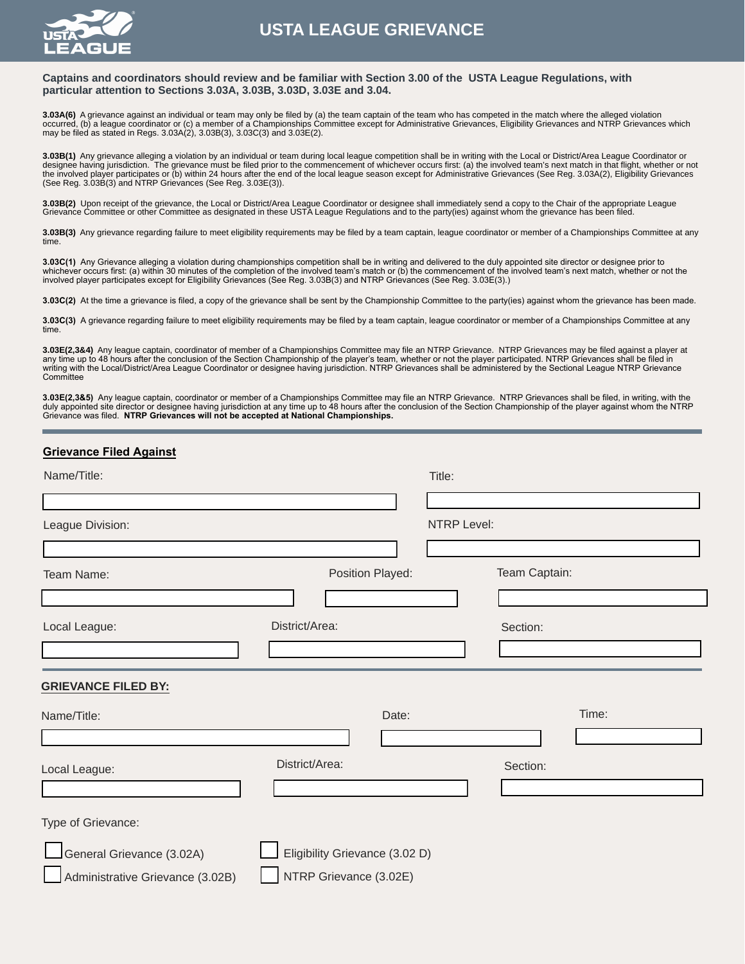

# **USTA LEAGUE GRIEVANCE**

#### **Captains and coordinators should review and be familiar with Section 3.00 of the USTA League Regulations, with particular attention to Sections 3.03A, 3.03B, 3.03D, 3.03E and 3.04.**

**3.03A(6)** A grievance against an individual or team may only be filed by (a) the team captain of the team who has competed in the match where the alleged violation occurred, (b) a league coordinator or (c) a member of a Championships Committee except for Administrative Grievances, Eligibility Grievances and NTRP Grievances which<br>may be filed as stated in Regs. 3.03A(2), 3.03B(3), 3.0

**3.03B(1)** Any grievance alleging a violation by an individual or team during local league competition shall be in writing with the Local or District/Area League Coordinator or designee having jurisdiction. The grievance must be filed prior to the commencement of whichever occurs first: (a) the involved team's next match in that flight, whether or not<br>the involved player participates or (b) withi (See Reg. 3.03B(3) and NTRP Grievances (See Reg. 3.03E(3)).

**3.03B(2)** Upon receipt of the grievance, the Local or District/Area League Coordinator or designee shall immediately send a copy to the Chair of the appropriate League Grievance Committee or other Committee as designated in these USTA League Regulations and to the party(ies) against whom the grievance has been filed.

**3.03B(3)** Any grievance regarding failure to meet eligibility requirements may be filed by a team captain, league coordinator or member of a Championships Committee at any time.

**3.03C(1)** Any Grievance alleging a violation during championships competition shall be in writing and delivered to the duly appointed site director or designee prior to<br>whichever occurs first: (a) within 30 minutes of the involved player participates except for Eligibility Grievances (See Reg. 3.03B(3) and NTRP Grievances (See Reg. 3.03E(3).)

**3.03C(2)** At the time a grievance is filed, a copy of the grievance shall be sent by the Championship Committee to the party(ies) against whom the grievance has been made.

**3.03C(3)** A grievance regarding failure to meet eligibility requirements may be filed by a team captain, league coordinator or member of a Championships Committee at any time.

3.03E(2,3&4) Any league captain, coordinator of member of a Championships Committee may file an NTRP Grievance. NTRP Grievances may be filed against a player at any time up to 48 hours after the conclusion of the Section Championship of the player's team, whether or not the player participated. NTRP Grievances shall be filed in writing with the Local/District/Area League Coordinator or designee having jurisdiction. NTRP Grievances shall be administered by the Sectional League NTRP Grievance Committee

**3.03E(2,3&5)** Any league captain, coordinator or member of a Championships Committee may file an NTRP Grievance. NTRP Grievances shall be filed, in writing, with the duly appointed site director or designee having jurisdiction at any time up to 48 hours after the conclusion of the Section Championship of the player against whom the NTRP<br>Grievance was filed. **NTRP Grievances will not b** 

| <b>Grievance Filed Against</b>   |                                |       |                    |               |       |  |
|----------------------------------|--------------------------------|-------|--------------------|---------------|-------|--|
| Name/Title:                      |                                |       | Title:             |               |       |  |
|                                  |                                |       |                    |               |       |  |
| League Division:                 |                                |       | <b>NTRP Level:</b> |               |       |  |
|                                  |                                |       |                    |               |       |  |
| Team Name:                       | Position Played:               |       |                    | Team Captain: |       |  |
|                                  |                                |       |                    |               |       |  |
| Local League:                    | District/Area:                 |       |                    | Section:      |       |  |
|                                  |                                |       |                    |               |       |  |
| <b>GRIEVANCE FILED BY:</b>       |                                |       |                    |               |       |  |
| Name/Title:                      |                                | Date: |                    |               | Time: |  |
|                                  |                                |       |                    |               |       |  |
| Local League:                    | District/Area:                 |       |                    | Section:      |       |  |
|                                  |                                |       |                    |               |       |  |
| Type of Grievance:               |                                |       |                    |               |       |  |
| General Grievance (3.02A)        | Eligibility Grievance (3.02 D) |       |                    |               |       |  |
| Administrative Grievance (3.02B) | NTRP Grievance (3.02E)         |       |                    |               |       |  |